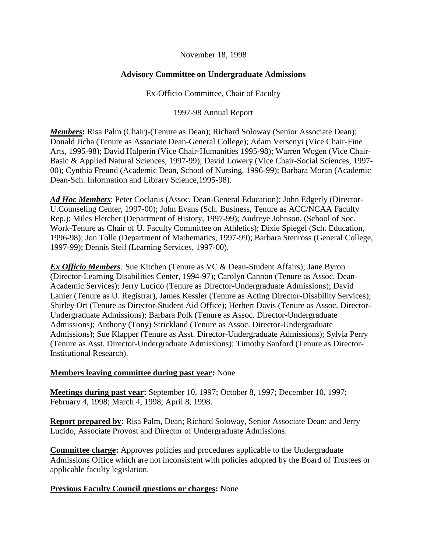#### November 18, 1998

# **Advisory Committee on Undergraduate Admissions**

Ex-Officio Committee, Chair of Faculty

1997-98 Annual Report

*Members*: Risa Palm (Chair)-(Tenure as Dean); Richard Soloway (Senior Associate Dean); Donald Jicha (Tenure as Associate Dean-General College); Adam Versenyi (Vice Chair-Fine Arts, 1995-98); David Halperin (Vice Chair-Humanities 1995-98); Warren Wogen (Vice Chair-Basic & Applied Natural Sciences, 1997-99); David Lowery (Vice Chair-Social Sciences, 1997- 00); Cynthia Freund (Academic Dean, School of Nursing, 1996-99); Barbara Moran (Academic Dean-Sch. Information and Library Science,1995-98).

*Ad Hoc Members*: Peter Coclanis (Assoc. Dean-General Education); John Edgerly (Director-U.Counseling Center, 1997-00); John Evans (Sch. Business, Tenure as ACC/NCAA Faculty Rep.); Miles Fletcher (Department of History, 1997-99); Audreye Johnson, (School of Soc. Work-Tenure as Chair of U. Faculty Committee on Athletics); Dixie Spiegel (Sch. Education, 1996-98); Jon Tolle (Department of Mathematics, 1997-99); Barbara Stenross (General College, 1997-99); Dennis Steil (Learning Services, 1997-00).

*Ex Officio Members:* Sue Kitchen (Tenure as VC & Dean-Student Affairs); Jane Byron (Director-Learning Disabilities Center, 1994-97); Carolyn Cannon (Tenure as Assoc. Dean-Academic Services); Jerry Lucido (Tenure as Director-Undergraduate Admissions); David Lanier (Tenure as U. Registrar), James Kessler (Tenure as Acting Director-Disability Services); Shirley Ort (Tenure as Director-Student Aid Office); Herbert Davis (Tenure as Assoc. Director-Undergraduate Admissions); Barbara Polk (Tenure as Assoc. Director-Undergraduate Admissions); Anthony (Tony) Strickland (Tenure as Assoc. Director-Undergraduate Admissions); Sue Klapper (Tenure as Asst. Director-Undergraduate Admissions); Sylvia Perry (Tenure as Asst. Director-Undergraduate Admissions); Timothy Sanford (Tenure as Director-Institutional Research).

# **Members leaving committee during past year:** None

**Meetings during past year:** September 10, 1997; October 8, 1997; December 10, 1997; February 4, 1998; March 4, 1998; April 8, 1998.

**Report prepared by:** Risa Palm, Dean; Richard Soloway, Senior Associate Dean; and Jerry Lucido, Associate Provost and Director of Undergraduate Admissions.

**Committee charge:** Approves policies and procedures applicable to the Undergraduate Admissions Office which are not inconsistent with policies adopted by the Board of Trustees or applicable faculty legislation.

## **Previous Faculty Council questions or charges:** None